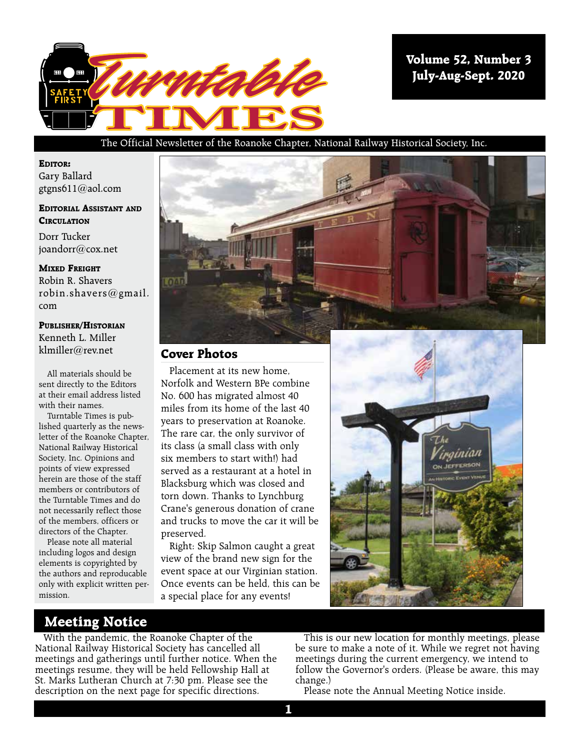

**Volume 52, Number 3 July-Aug-Sept. 2020**

#### The Official Newsletter of the Roanoke Chapter, National Railway Historical Society, Inc.

**Editor:** Gary Ballard

gtgns611@aol.com

#### **Editorial Assistant and Circulation**

Dorr Tucker joandorr@cox.net

**Mixed Freight** Robin R. Shavers robin.shavers@gmail. com

#### **Publisher/Historian**

Kenneth L. Miller klmiller@rev.net

All materials should be sent directly to the Editors at their email address listed with their names.

Turntable Times is published quarterly as the newsletter of the Roanoke Chapter, National Railway Historical Society, Inc. Opinions and points of view expressed herein are those of the staff members or contributors of the Turntable Times and do not necessarily reflect those of the members, officers or directors of the Chapter.

Please note all material including logos and design elements is copyrighted by the authors and reproducable only with explicit written permission.



#### **Cover Photos**

Placement at its new home, Norfolk and Western BPe combine No. 600 has migrated almost 40 miles from its home of the last 40 years to preservation at Roanoke. The rare car, the only survivor of its class (a small class with only six members to start with!) had served as a restaurant at a hotel in Blacksburg which was closed and torn down. Thanks to Lynchburg Crane's generous donation of crane and trucks to move the car it will be preserved.

Right: Skip Salmon caught a great view of the brand new sign for the event space at our Virginian station. Once events can be held, this can be a special place for any events!



## **Meeting Notice**

With the pandemic, the Roanoke Chapter of the National Railway Historical Society has cancelled all meetings and gatherings until further notice. When the meetings resume, they will be held Fellowship Hall at St. Marks Lutheran Church at 7:30 pm. Please see the description on the next page for specific directions.

This is our new location for monthly meetings, please be sure to make a note of it. While we regret not having meetings during the current emergency, we intend to follow the Governor's orders. (Please be aware, this may change.)

Please note the Annual Meeting Notice inside.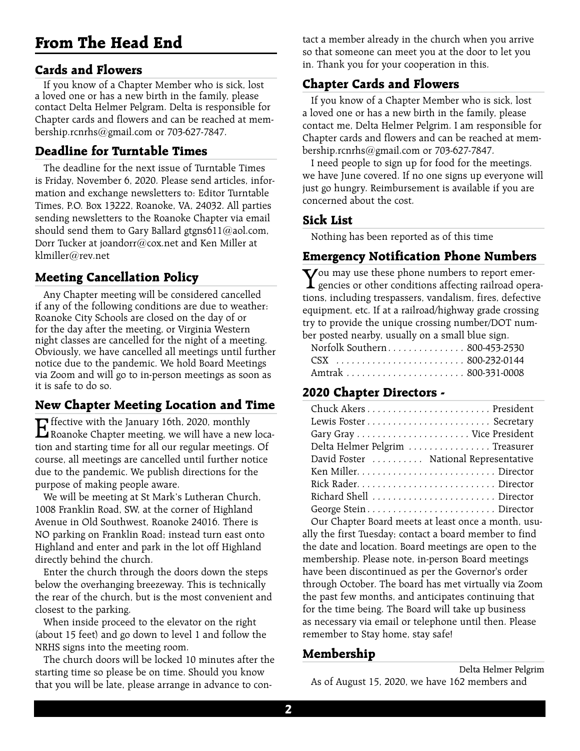# **From The Head End**

## **Cards and Flowers**

If you know of a Chapter Member who is sick, lost a loved one or has a new birth in the family, please contact Delta Helmer Pelgram. Delta is responsible for Chapter cards and flowers and can be reached at membership.rcnrhs@gmail.com or 703-627-7847.

## **Deadline for Turntable Times**

The deadline for the next issue of Turntable Times is Friday, November 6, 2020. Please send articles, information and exchange newsletters to: Editor Turntable Times, P.O. Box 13222, Roanoke, VA, 24032. All parties sending newsletters to the Roanoke Chapter via email should send them to Gary Ballard gtgns611@aol.com, Dorr Tucker at joandorr@cox.net and Ken Miller at klmiller@rev.net

## **Meeting Cancellation Policy**

Any Chapter meeting will be considered cancelled if any of the following conditions are due to weather: Roanoke City Schools are closed on the day of or for the day after the meeting, or Virginia Western night classes are cancelled for the night of a meeting. Obviously, we have cancelled all meetings until further notice due to the pandemic. We hold Board Meetings via Zoom and will go to in-person meetings as soon as it is safe to do so.

## **New Chapter Meeting Location and Time**

Effective with the January 16th, 2020, monthly<br>Roanoke Chapter meeting, we will have a new location and starting time for all our regular meetings. Of course, all meetings are cancelled until further notice due to the pandemic. We publish directions for the purpose of making people aware.

We will be meeting at St Mark's Lutheran Church, 1008 Franklin Road, SW, at the corner of Highland Avenue in Old Southwest, Roanoke 24016. There is NO parking on Franklin Road; instead turn east onto Highland and enter and park in the lot off Highland directly behind the church.

Enter the church through the doors down the steps below the overhanging breezeway. This is technically the rear of the church, but is the most convenient and closest to the parking.

When inside proceed to the elevator on the right (about 15 feet) and go down to level 1 and follow the NRHS signs into the meeting room.

The church doors will be locked 10 minutes after the starting time so please be on time. Should you know that you will be late, please arrange in advance to con-

tact a member already in the church when you arrive so that someone can meet you at the door to let you in. Thank you for your cooperation in this.

## **Chapter Cards and Flowers**

If you know of a Chapter Member who is sick, lost a loved one or has a new birth in the family, please contact me, Delta Helmer Pelgrim. I am responsible for Chapter cards and flowers and can be reached at membership.rcnrhs@gmail.com or 703-627-7847.

I need people to sign up for food for the meetings. we have June covered. If no one signs up everyone will just go hungry. Reimbursement is available if you are concerned about the cost.

#### **Sick List**

Nothing has been reported as of this time

## **Emergency Notification Phone Numbers**

You may use these phone numbers to report emergencies or other conditions affecting railroad operations, including trespassers, vandalism, fires, defective equipment, etc. If at a railroad/highway grade crossing try to provide the unique crossing number/DOT number posted nearby, usually on a small blue sign.

|  |  | Norfolk Southern 800-453-2530 |
|--|--|-------------------------------|
|  |  |                               |
|  |  |                               |

## **2020 Chapter Directors -**

| Delta Helmer Pelgrim  Treasurer                                                                      |
|------------------------------------------------------------------------------------------------------|
| David Foster  National Representative                                                                |
|                                                                                                      |
|                                                                                                      |
| Richard Shell Director                                                                               |
|                                                                                                      |
| 그 사람들은 그 사람들은 그 사람들을 만들고 있다. 그 사람들은 그 사람들은 그 사람들은 그 사람들을 만들고 있다. 그 사람들은 그 사람들은 그 사람들은 그 사람들을 만들고 있다. |

Our Chapter Board meets at least once a month, usually the first Tuesday; contact a board member to find the date and location. Board meetings are open to the membership. Please note, in-person Board meetings have been discontinued as per the Governor's order through October. The board has met virtually via Zoom the past few months, and anticipates continuing that for the time being. The Board will take up business as necessary via email or telephone until then. Please remember to Stay home, stay safe!

## **Membership**

Delta Helmer Pelgrim As of August 15, 2020, we have 162 members and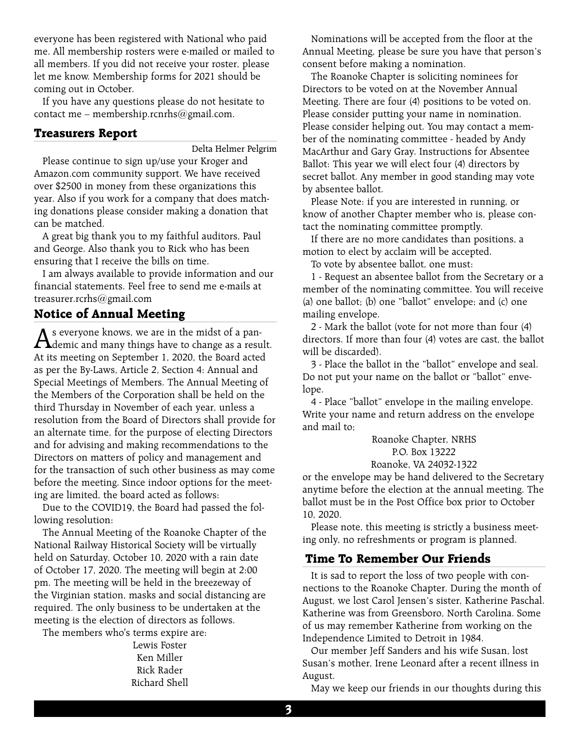everyone has been registered with National who paid me. All membership rosters were e-mailed or mailed to all members. If you did not receive your roster, please let me know. Membership forms for 2021 should be coming out in October.

If you have any questions please do not hesitate to contact me – membership.rcnrhs@gmail.com.

#### **Treasurers Report**

Delta Helmer Pelgrim

Please continue to sign up/use your Kroger and Amazon.com community support. We have received over \$2500 in money from these organizations this year. Also if you work for a company that does matching donations please consider making a donation that can be matched.

A great big thank you to my faithful auditors, Paul and George. Also thank you to Rick who has been ensuring that I receive the bills on time.

I am always available to provide information and our financial statements. Feel free to send me e-mails at treasurer.rcrhs@gmail.com

## **Notice of Annual Meeting**

As everyone knows, we are in the midst of a pan-<br>demic and many things have to change as a result. At its meeting on September 1, 2020, the Board acted as per the By-Laws, Article 2, Section 4: Annual and Special Meetings of Members. The Annual Meeting of the Members of the Corporation shall be held on the third Thursday in November of each year, unless a resolution from the Board of Directors shall provide for an alternate time, for the purpose of electing Directors and for advising and making recommendations to the Directors on matters of policy and management and for the transaction of such other business as may come before the meeting. Since indoor options for the meeting are limited, the board acted as follows:

Due to the COVID19, the Board had passed the following resolution:

The Annual Meeting of the Roanoke Chapter of the National Railway Historical Society will be virtually held on Saturday, October 10, 2020 with a rain date of October 17, 2020. The meeting will begin at 2:00 pm. The meeting will be held in the breezeway of the Virginian station, masks and social distancing are required. The only business to be undertaken at the meeting is the election of directors as follows.

The members who's terms expire are:

Lewis Foster Ken Miller Rick Rader Richard Shell

Nominations will be accepted from the floor at the Annual Meeting, please be sure you have that person's consent before making a nomination.

The Roanoke Chapter is soliciting nominees for Directors to be voted on at the November Annual Meeting. There are four (4) positions to be voted on. Please consider putting your name in nomination. Please consider helping out. You may contact a member of the nominating committee - headed by Andy MacArthur and Gary Gray. Instructions for Absentee Ballot: This year we will elect four (4) directors by secret ballot. Any member in good standing may vote by absentee ballot.

Please Note: if you are interested in running, or know of another Chapter member who is, please contact the nominating committee promptly.

If there are no more candidates than positions, a motion to elect by acclaim will be accepted.

To vote by absentee ballot, one must:

1 - Request an absentee ballot from the Secretary or a member of the nominating committee. You will receive (a) one ballot; (b) one "ballot" envelope; and (c) one mailing envelope.

2 - Mark the ballot (vote for not more than four (4) directors. If more than four (4) votes are cast, the ballot will be discarded).

3 - Place the ballot in the "ballot" envelope and seal. Do not put your name on the ballot or "ballot" envelope.

4 - Place "ballot" envelope in the mailing envelope. Write your name and return address on the envelope and mail to;

> Roanoke Chapter, NRHS P.O. Box 13222 Roanoke, VA 24032-1322

or the envelope may be hand delivered to the Secretary anytime before the election at the annual meeting. The ballot must be in the Post Office box prior to October 10, 2020.

Please note, this meeting is strictly a business meeting only, no refreshments or program is planned.

## **Time To Remember Our Friends**

It is sad to report the loss of two people with connections to the Roanoke Chapter. During the month of August, we lost Carol Jensen's sister, Katherine Paschal. Katherine was from Greensboro, North Carolina. Some of us may remember Katherine from working on the Independence Limited to Detroit in 1984.

Our member Jeff Sanders and his wife Susan, lost Susan's mother, Irene Leonard after a recent illness in August.

May we keep our friends in our thoughts during this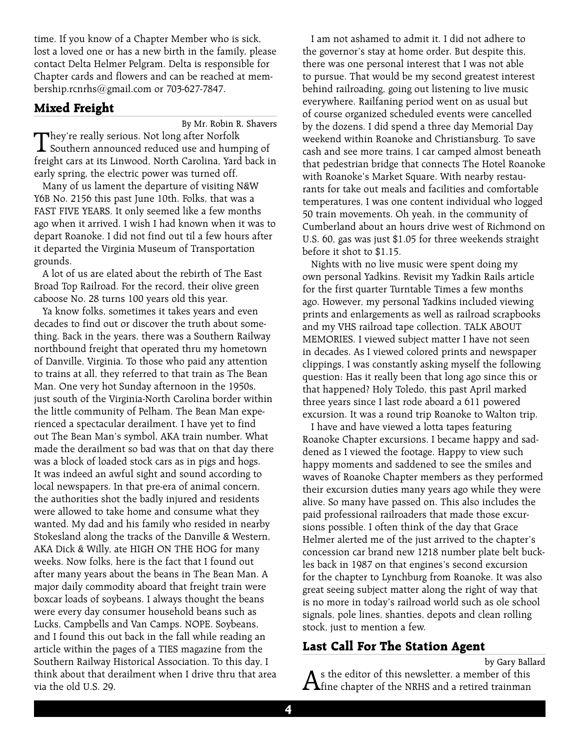time. If you know of a Chapter Member who is sick, lost a loved one or has a new birth in the family, please contact Delta Helmer Pelgram. Delta is responsible for Chapter cards and flowers and can be reached at membership.rcnrhs@gmail.com or 703-627-7847.

#### **Mixed Freight**

By Mr. Robin R. Shavers

They're really serious. Not long after Norfolk Southern announced reduced use and humping of freight cars at its Linwood, North Carolina, Yard back in early spring, the electric power was turned off.

Many of us lament the departure of visiting N&W Y6B No. 2156 this past June 10th. Folks, that was a FAST FIVE YEARS. It only seemed like a few months ago when it arrived. I wish I had known when it was to depart Roanoke. I did not find out til a few hours after it departed the Virginia Museum of Transportation grounds.

A lot of us are elated about the rebirth of The East Broad Top Railroad. For the record, their olive green caboose No. 28 turns 100 years old this year.

Ya know folks, sometimes it takes years and even decades to find out or discover the truth about something. Back in the years, there was a Southern Railway northbound freight that operated thru my hometown of Danville, Virginia. To those who paid any attention to trains at all, they referred to that train as The Bean Man. One very hot Sunday afternoon in the 1950s, just south of the Virginia-North Carolina border within the little community of Pelham, The Bean Man experienced a spectacular derailment. I have yet to find out The Bean Man's symbol, AKA train number. What made the derailment so bad was that on that day there was a block of loaded stock cars as in pigs and hogs. It was indeed an awful sight and sound according to local newspapers. In that pre-era of animal concern, the authorities shot the badly injured and residents were allowed to take home and consume what they wanted. My dad and his family who resided in nearby Stokesland along the tracks of the Danville & Western, AKA Dick & Willy, ate HIGH ON THE HOG for many weeks. Now folks, here is the fact that I found out after many years about the beans in The Bean Man. A major daily commodity aboard that freight train were boxcar loads of soybeans. I always thought the beans were every day consumer household beans such as Lucks, Campbells and Van Camps. NOPE. Soybeans, and I found this out back in the fall while reading an article within the pages of a TIES magazine from the Southern Railway Historical Association. To this day, I think about that derailment when I drive thru that area via the old U.S. 29.

I am not ashamed to admit it. I did not adhere to the governor's stay at home order. But despite this, there was one personal interest that I was not able to pursue. That would be my second greatest interest behind railroading, going out listening to live music everywhere. Railfaning period went on as usual but of course organized scheduled events were cancelled by the dozens. I did spend a three day Memorial Day weekend within Roanoke and Christiansburg. To save cash and see more trains, I car camped almost beneath that pedestrian bridge that connects The Hotel Roanoke with Roanoke's Market Square. With nearby restaurants for take out meals and facilities and comfortable temperatures, I was one content individual who logged 50 train movements. Oh yeah, in the community of Cumberland about an hours drive west of Richmond on U.S. 60, gas was just \$1.05 for three weekends straight before it shot to \$1.15.

Nights with no live music were spent doing my own personal Yadkins. Revisit my Yadkin Rails article for the first quarter Turntable Times a few months ago. However, my personal Yadkins included viewing prints and enlargements as well as railroad scrapbooks and my VHS railroad tape collection. TALK ABOUT MEMORIES. I viewed subject matter I have not seen in decades. As I viewed colored prints and newspaper clippings, I was constantly asking myself the following question: Has it really been that long ago since this or that happened? Holy Toledo, this past April marked three years since I last rode aboard a 611 powered excursion. It was a round trip Roanoke to Walton trip.

I have and have viewed a lotta tapes featuring Roanoke Chapter excursions. I became happy and saddened as I viewed the footage. Happy to view such happy moments and saddened to see the smiles and waves of Roanoke Chapter members as they performed their excursion duties many years ago while they were alive. So many have passed on. This also includes the paid professional railroaders that made those excursions possible. I often think of the day that Grace Helmer alerted me of the just arrived to the chapter's concession car brand new 1218 number plate belt buckles back in 1987 on that engines's second excursion for the chapter to Lynchburg from Roanoke. It was also great seeing subject matter along the right of way that is no more in today's railroad world such as ole school signals, pole lines, shanties, depots and clean rolling stock, just to mention a few.

## **Last Call For The Station Agent**

by Gary Ballard  $\mathbf A$ s the editor of this newsletter, a member of this diffine chapter of the NRHS and a retired trainman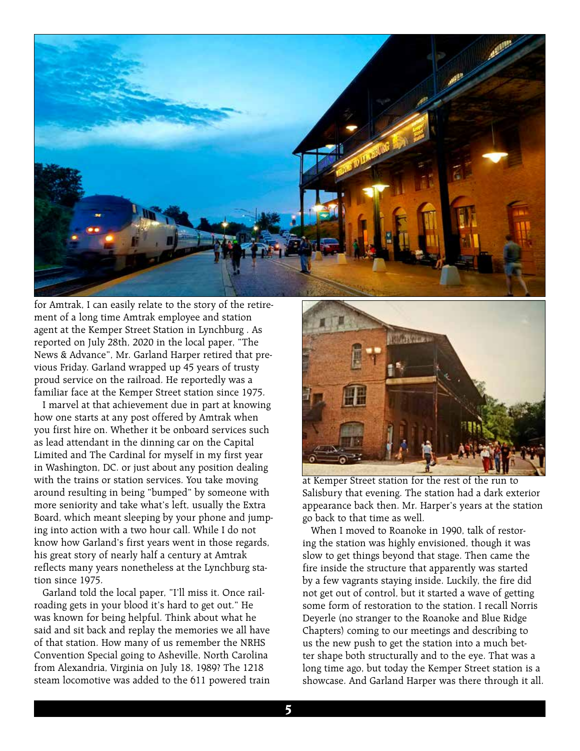

for Amtrak, I can easily relate to the story of the retirement of a long time Amtrak employee and station agent at the Kemper Street Station in Lynchburg . As reported on July 28th, 2020 in the local paper, "The News & Advance", Mr. Garland Harper retired that previous Friday. Garland wrapped up 45 years of trusty proud service on the railroad. He reportedly was a familiar face at the Kemper Street station since 1975.

I marvel at that achievement due in part at knowing how one starts at any post offered by Amtrak when you first hire on. Whether it be onboard services such as lead attendant in the dinning car on the Capital Limited and The Cardinal for myself in my first year in Washington, DC. or just about any position dealing with the trains or station services. You take moving around resulting in being "bumped" by someone with more seniority and take what's left, usually the Extra Board, which meant sleeping by your phone and jumping into action with a two hour call. While I do not know how Garland's first years went in those regards, his great story of nearly half a century at Amtrak reflects many years nonetheless at the Lynchburg station since 1975.

Garland told the local paper, "I'll miss it. Once railroading gets in your blood it's hard to get out." He was known for being helpful. Think about what he said and sit back and replay the memories we all have of that station. How many of us remember the NRHS Convention Special going to Asheville, North Carolina from Alexandria, Virginia on July 18, 1989? The 1218 steam locomotive was added to the 611 powered train



at Kemper Street station for the rest of the run to Salisbury that evening. The station had a dark exterior appearance back then. Mr. Harper's years at the station go back to that time as well.

When I moved to Roanoke in 1990, talk of restoring the station was highly envisioned, though it was slow to get things beyond that stage. Then came the fire inside the structure that apparently was started by a few vagrants staying inside. Luckily, the fire did not get out of control, but it started a wave of getting some form of restoration to the station. I recall Norris Deyerle (no stranger to the Roanoke and Blue Ridge Chapters) coming to our meetings and describing to us the new push to get the station into a much better shape both structurally and to the eye. That was a long time ago, but today the Kemper Street station is a showcase. And Garland Harper was there through it all.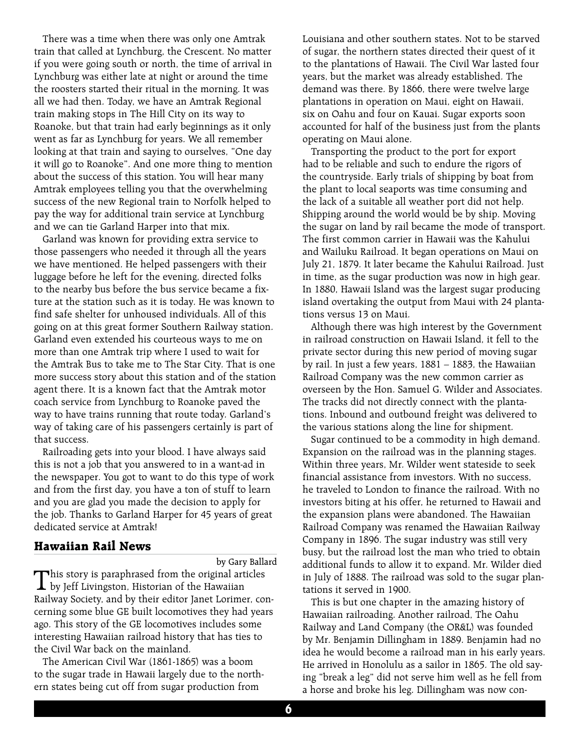There was a time when there was only one Amtrak train that called at Lynchburg, the Crescent. No matter if you were going south or north, the time of arrival in Lynchburg was either late at night or around the time the roosters started their ritual in the morning. It was all we had then. Today, we have an Amtrak Regional train making stops in The Hill City on its way to Roanoke, but that train had early beginnings as it only went as far as Lynchburg for years. We all remember looking at that train and saying to ourselves, "One day it will go to Roanoke". And one more thing to mention about the success of this station. You will hear many Amtrak employees telling you that the overwhelming success of the new Regional train to Norfolk helped to pay the way for additional train service at Lynchburg and we can tie Garland Harper into that mix.

Garland was known for providing extra service to those passengers who needed it through all the years we have mentioned. He helped passengers with their luggage before he left for the evening, directed folks to the nearby bus before the bus service became a fixture at the station such as it is today. He was known to find safe shelter for unhoused individuals. All of this going on at this great former Southern Railway station. Garland even extended his courteous ways to me on more than one Amtrak trip where I used to wait for the Amtrak Bus to take me to The Star City. That is one more success story about this station and of the station agent there. It is a known fact that the Amtrak motor coach service from Lynchburg to Roanoke paved the way to have trains running that route today. Garland's way of taking care of his passengers certainly is part of that success.

Railroading gets into your blood. I have always said this is not a job that you answered to in a want-ad in the newspaper. You got to want to do this type of work and from the first day, you have a ton of stuff to learn and you are glad you made the decision to apply for the job. Thanks to Garland Harper for 45 years of great dedicated service at Amtrak!

#### **Hawaiian Rail News**

by Gary Ballard

This story is paraphrased from the original articles<br>by Jeff Livingston, Historian of the Hawaiian Railway Society, and by their editor Janet Lorimer, concerning some blue GE built locomotives they had years ago. This story of the GE locomotives includes some interesting Hawaiian railroad history that has ties to the Civil War back on the mainland.

The American Civil War (1861-1865) was a boom to the sugar trade in Hawaii largely due to the northern states being cut off from sugar production from

Louisiana and other southern states. Not to be starved of sugar, the northern states directed their quest of it to the plantations of Hawaii. The Civil War lasted four years, but the market was already established. The demand was there. By 1866, there were twelve large plantations in operation on Maui, eight on Hawaii, six on Oahu and four on Kauai. Sugar exports soon accounted for half of the business just from the plants operating on Maui alone.

Transporting the product to the port for export had to be reliable and such to endure the rigors of the countryside. Early trials of shipping by boat from the plant to local seaports was time consuming and the lack of a suitable all weather port did not help. Shipping around the world would be by ship. Moving the sugar on land by rail became the mode of transport. The first common carrier in Hawaii was the Kahului and Wailuku Railroad. It began operations on Maui on July 21, 1879. It later became the Kahului Railroad. Just in time, as the sugar production was now in high gear. In 1880, Hawaii Island was the largest sugar producing island overtaking the output from Maui with 24 plantations versus 13 on Maui.

Although there was high interest by the Government in railroad construction on Hawaii Island, it fell to the private sector during this new period of moving sugar by rail. In just a few years, 1881 – 1883, the Hawaiian Railroad Company was the new common carrier as overseen by the Hon. Samuel G. Wilder and Associates. The tracks did not directly connect with the plantations. Inbound and outbound freight was delivered to the various stations along the line for shipment.

Sugar continued to be a commodity in high demand. Expansion on the railroad was in the planning stages. Within three years, Mr. Wilder went stateside to seek financial assistance from investors. With no success, he traveled to London to finance the railroad. With no investors biting at his offer, he returned to Hawaii and the expansion plans were abandoned. The Hawaiian Railroad Company was renamed the Hawaiian Railway Company in 1896. The sugar industry was still very busy, but the railroad lost the man who tried to obtain additional funds to allow it to expand. Mr. Wilder died in July of 1888. The railroad was sold to the sugar plantations it served in 1900.

This is but one chapter in the amazing history of Hawaiian railroading. Another railroad, The Oahu Railway and Land Company (the OR&L) was founded by Mr. Benjamin Dillingham in 1889. Benjamin had no idea he would become a railroad man in his early years. He arrived in Honolulu as a sailor in 1865. The old saying "break a leg" did not serve him well as he fell from a horse and broke his leg. Dillingham was now con-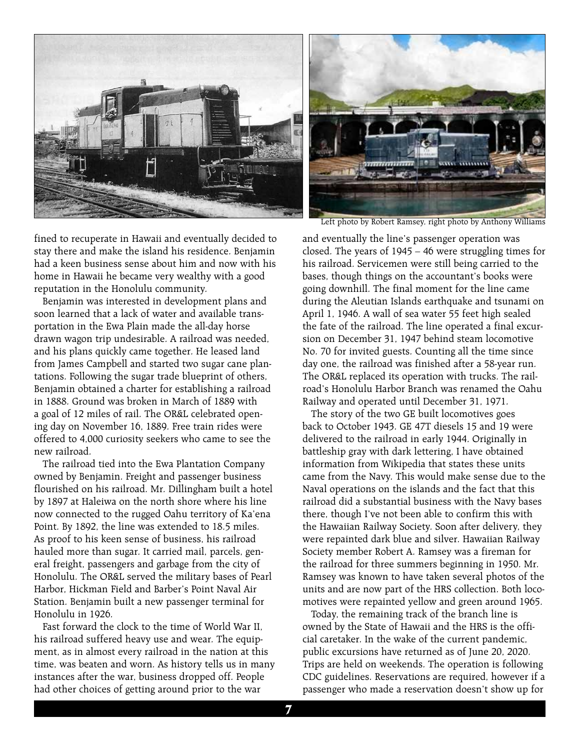

fined to recuperate in Hawaii and eventually decided to stay there and make the island his residence. Benjamin had a keen business sense about him and now with his home in Hawaii he became very wealthy with a good reputation in the Honolulu community.

Benjamin was interested in development plans and soon learned that a lack of water and available transportation in the Ewa Plain made the all-day horse drawn wagon trip undesirable. A railroad was needed, and his plans quickly came together. He leased land from James Campbell and started two sugar cane plantations. Following the sugar trade blueprint of others, Benjamin obtained a charter for establishing a railroad in 1888. Ground was broken in March of 1889 with a goal of 12 miles of rail. The OR&L celebrated opening day on November 16, 1889. Free train rides were offered to 4,000 curiosity seekers who came to see the new railroad.

The railroad tied into the Ewa Plantation Company owned by Benjamin. Freight and passenger business flourished on his railroad. Mr. Dillingham built a hotel by 1897 at Haleiwa on the north shore where his line now connected to the rugged Oahu territory of Ka'ena Point. By 1892, the line was extended to 18.5 miles. As proof to his keen sense of business, his railroad hauled more than sugar. It carried mail, parcels, general freight, passengers and garbage from the city of Honolulu. The OR&L served the military bases of Pearl Harbor, Hickman Field and Barber's Point Naval Air Station. Benjamin built a new passenger terminal for Honolulu in 1926.

Fast forward the clock to the time of World War II, his railroad suffered heavy use and wear. The equipment, as in almost every railroad in the nation at this time, was beaten and worn. As history tells us in many instances after the war, business dropped off. People had other choices of getting around prior to the war



Left photo by Robert Ramsey, right photo by Anthony Williams

and eventually the line's passenger operation was closed. The years of 1945 – 46 were struggling times for his railroad. Servicemen were still being carried to the bases, though things on the accountant's books were going downhill. The final moment for the line came during the Aleutian Islands earthquake and tsunami on April 1, 1946. A wall of sea water 55 feet high sealed the fate of the railroad. The line operated a final excursion on December 31, 1947 behind steam locomotive No. 70 for invited guests. Counting all the time since day one, the railroad was finished after a 58-year run. The OR&L replaced its operation with trucks. The railroad's Honolulu Harbor Branch was renamed the Oahu Railway and operated until December 31, 1971.

The story of the two GE built locomotives goes back to October 1943. GE 47T diesels 15 and 19 were delivered to the railroad in early 1944. Originally in battleship gray with dark lettering, I have obtained information from Wikipedia that states these units came from the Navy. This would make sense due to the Naval operations on the islands and the fact that this railroad did a substantial business with the Navy bases there, though I've not been able to confirm this with the Hawaiian Railway Society. Soon after delivery, they were repainted dark blue and silver. Hawaiian Railway Society member Robert A. Ramsey was a fireman for the railroad for three summers beginning in 1950. Mr. Ramsey was known to have taken several photos of the units and are now part of the HRS collection. Both locomotives were repainted yellow and green around 1965.

Today, the remaining track of the branch line is owned by the State of Hawaii and the HRS is the official caretaker. In the wake of the current pandemic, public excursions have returned as of June 20, 2020. Trips are held on weekends. The operation is following CDC guidelines. Reservations are required, however if a passenger who made a reservation doesn't show up for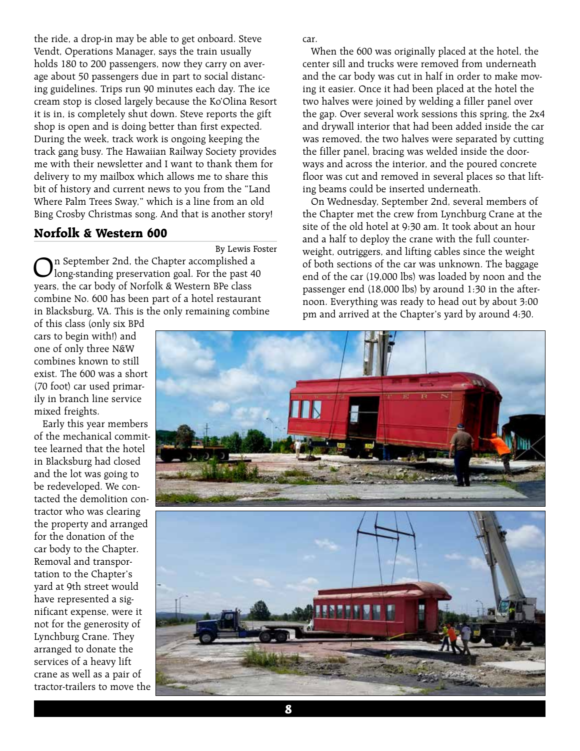the ride, a drop-in may be able to get onboard. Steve Vendt, Operations Manager, says the train usually holds 180 to 200 passengers, now they carry on average about 50 passengers due in part to social distancing guidelines. Trips run 90 minutes each day. The ice cream stop is closed largely because the Ko'Olina Resort it is in, is completely shut down. Steve reports the gift shop is open and is doing better than first expected. During the week, track work is ongoing keeping the track gang busy. The Hawaiian Railway Society provides me with their newsletter and I want to thank them for delivery to my mailbox which allows me to share this bit of history and current news to you from the "Land Where Palm Trees Sway," which is a line from an old Bing Crosby Christmas song. And that is another story!

#### **Norfolk & Western 600**

By Lewis Foster

On September 2nd, the Chapter accomplished a long-standing preservation goal. For the past 40 years, the car body of Norfolk & Western BPe class combine No. 600 has been part of a hotel restaurant in Blacksburg, VA. This is the only remaining combine

of this class (only six BPd cars to begin with!) and one of only three N&W combines known to still exist. The 600 was a short (70 foot) car used primarily in branch line service mixed freights.

Early this year members of the mechanical committee learned that the hotel in Blacksburg had closed and the lot was going to be redeveloped. We contacted the demolition contractor who was clearing the property and arranged for the donation of the car body to the Chapter. Removal and transportation to the Chapter's yard at 9th street would have represented a significant expense, were it not for the generosity of Lynchburg Crane. They arranged to donate the services of a heavy lift crane as well as a pair of tractor-trailers to move the car.

When the 600 was originally placed at the hotel, the center sill and trucks were removed from underneath and the car body was cut in half in order to make moving it easier. Once it had been placed at the hotel the two halves were joined by welding a filler panel over the gap. Over several work sessions this spring, the 2x4 and drywall interior that had been added inside the car was removed, the two halves were separated by cutting the filler panel, bracing was welded inside the doorways and across the interior, and the poured concrete floor was cut and removed in several places so that lifting beams could be inserted underneath.

On Wednesday, September 2nd, several members of the Chapter met the crew from Lynchburg Crane at the site of the old hotel at 9:30 am. It took about an hour and a half to deploy the crane with the full counterweight, outriggers, and lifting cables since the weight of both sections of the car was unknown. The baggage end of the car (19,000 lbs) was loaded by noon and the passenger end (18,000 lbs) by around 1:30 in the afternoon. Everything was ready to head out by about 3:00 pm and arrived at the Chapter's yard by around 4:30.

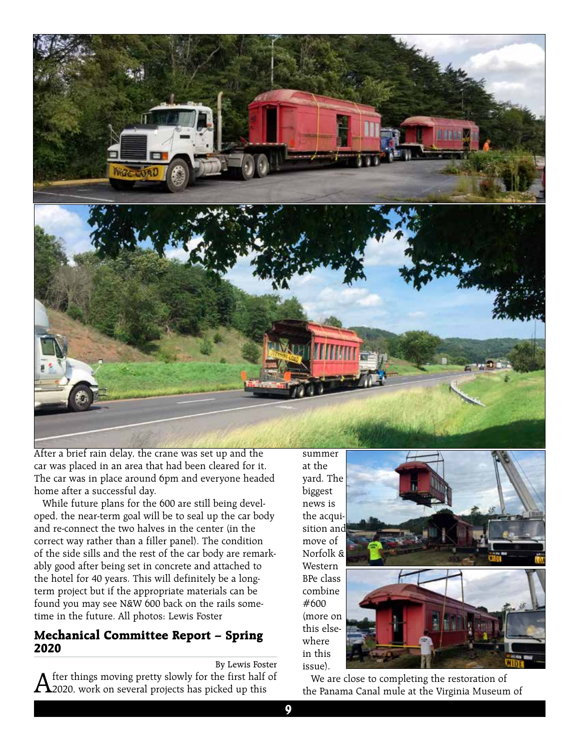

After a brief rain delay, the crane was set up and the car was placed in an area that had been cleared for it. The car was in place around 6pm and everyone headed home after a successful day.

While future plans for the 600 are still being developed, the near-term goal will be to seal up the car body and re-connect the two halves in the center (in the correct way rather than a filler panel). The condition of the side sills and the rest of the car body are remarkably good after being set in concrete and attached to the hotel for 40 years. This will definitely be a longterm project but if the appropriate materials can be found you may see N&W 600 back on the rails sometime in the future. All photos: Lewis Foster

#### **Mechanical Committee Report – Spring 2020**

By Lewis Foster

 $A$  fter things moving pretty slowly for the first half of  $2020$ , work on several projects has picked up this

at the yard. The biggest news is the acquisition and move of Norfolk & Western BPe class combine #600 (more on this elsewhere in this issue).





We are close to completing the restoration of the Panama Canal mule at the Virginia Museum of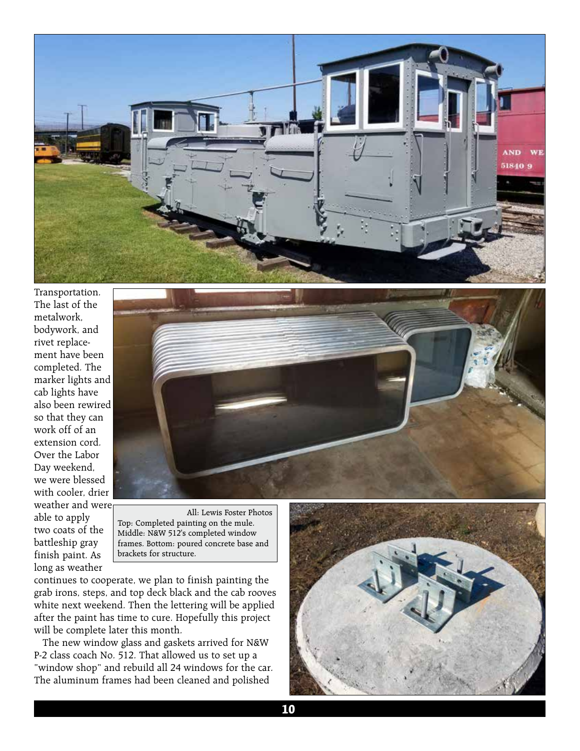

Transportation. The last of the metalwork, bodywork, and rivet replacement have been completed. The marker lights and cab lights have also been rewired so that they can work off of an extension cord. Over the Labor Day weekend, we were blessed with cooler, drier weather and were able to apply two coats of the battleship gray

finish paint. As long as weather



All: Lewis Foster Photos Top: Completed painting on the mule. Middle: N&W 512's completed window frames. Bottom: poured concrete base and brackets for structure.

continues to cooperate, we plan to finish painting the grab irons, steps, and top deck black and the cab rooves white next weekend. Then the lettering will be applied after the paint has time to cure. Hopefully this project will be complete later this month.

The new window glass and gaskets arrived for N&W P-2 class coach No. 512. That allowed us to set up a "window shop" and rebuild all 24 windows for the car. The aluminum frames had been cleaned and polished